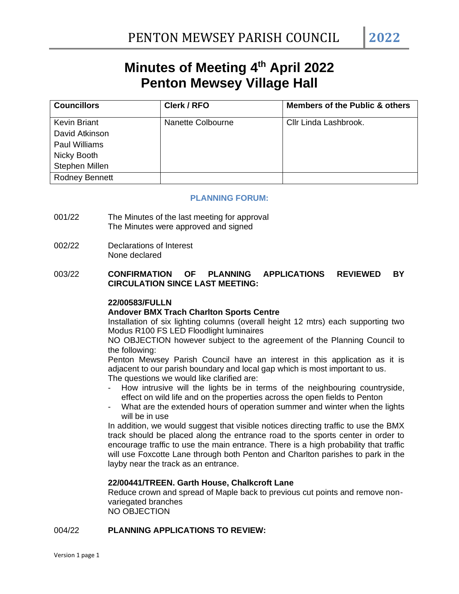# **Minutes of Meeting 4 th April 2022 Penton Mewsey Village Hall**

| <b>Councillors</b>    | Clerk / RFO       | <b>Members of the Public &amp; others</b> |
|-----------------------|-------------------|-------------------------------------------|
| <b>Kevin Briant</b>   | Nanette Colbourne | Cllr Linda Lashbrook.                     |
| David Atkinson        |                   |                                           |
| <b>Paul Williams</b>  |                   |                                           |
| Nicky Booth           |                   |                                           |
| Stephen Millen        |                   |                                           |
| <b>Rodney Bennett</b> |                   |                                           |

#### **PLANNING FORUM:**

- 001/22 The Minutes of the last meeting for approval The Minutes were approved and signed
- 002/22 Declarations of Interest None declared

# 003/22 **CONFIRMATION OF PLANNING APPLICATIONS REVIEWED BY CIRCULATION SINCE LAST MEETING:**

#### **22/00583/FULLN**

#### **Andover BMX Trach Charlton Sports Centre**

Installation of six lighting columns (overall height 12 mtrs) each supporting two Modus R100 FS LED Floodlight luminaires

NO OBJECTION however subject to the agreement of the Planning Council to the following:

Penton Mewsey Parish Council have an interest in this application as it is adjacent to our parish boundary and local gap which is most important to us. The questions we would like clarified are:

- How intrusive will the lights be in terms of the neighbouring countryside, effect on wild life and on the properties across the open fields to Penton
- What are the extended hours of operation summer and winter when the lights will be in use

In addition, we would suggest that visible notices directing traffic to use the BMX track should be placed along the entrance road to the sports center in order to encourage traffic to use the main entrance. There is a high probability that traffic will use Foxcotte Lane through both Penton and Charlton parishes to park in the layby near the track as an entrance.

#### **22/00441/TREEN. Garth House, Chalkcroft Lane**

Reduce crown and spread of Maple back to previous cut points and remove nonvariegated branches NO OBJECTION

#### 004/22 **PLANNING APPLICATIONS TO REVIEW:**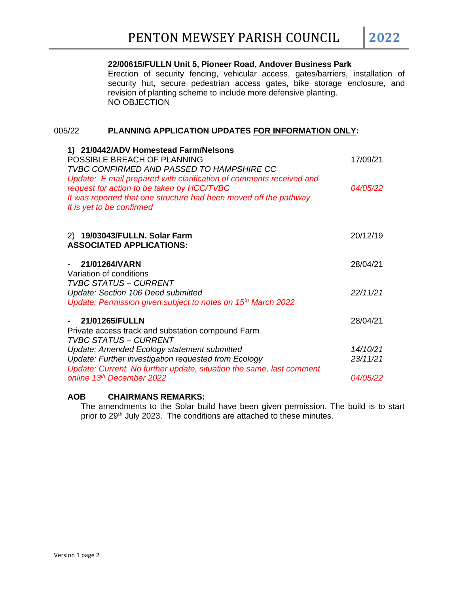# **22/00615/FULLN Unit 5, Pioneer Road, Andover Business Park**

Erection of security fencing, vehicular access, gates/barriers, installation of security hut, secure pedestrian access gates, bike storage enclosure, and revision of planting scheme to include more defensive planting. NO OBJECTION

#### 005/22 **PLANNING APPLICATION UPDATES FOR INFORMATION ONLY:**

| 1) 21/0442/ADV Homestead Farm/Nelsons<br>POSSIBLE BREACH OF PLANNING<br><b>TVBC CONFIRMED AND PASSED TO HAMPSHIRE CC</b><br>Update: E mail prepared with clarification of comments received and | 17/09/21 |
|-------------------------------------------------------------------------------------------------------------------------------------------------------------------------------------------------|----------|
| request for action to be taken by HCC/TVBC<br>It was reported that one structure had been moved off the pathway.<br>It is yet to be confirmed                                                   | 04/05/22 |
| 2) 19/03043/FULLN. Solar Farm<br><b>ASSOCIATED APPLICATIONS:</b>                                                                                                                                | 20/12/19 |
| 21/01264/VARN<br>Variation of conditions<br><b>TVBC STATUS - CURRENT</b>                                                                                                                        | 28/04/21 |
| Update: Section 106 Deed submitted<br>Update: Permission given subject to notes on 15 <sup>th</sup> March 2022                                                                                  | 22/11/21 |
| 21/01265/FULLN<br>Private access track and substation compound Farm<br><b>TVBC STATUS - CURRENT</b>                                                                                             | 28/04/21 |
| Update: Amended Ecology statement submitted                                                                                                                                                     | 14/10/21 |
| Update: Further investigation requested from Ecology<br>Update: Current. No further update, situation the same, last comment                                                                    | 23/11/21 |
| online 13th December 2022                                                                                                                                                                       | 04/05/22 |

# **AOB CHAIRMANS REMARKS:**

The amendments to the Solar build have been given permission. The build is to start prior to 29<sup>th</sup> July 2023. The conditions are attached to these minutes.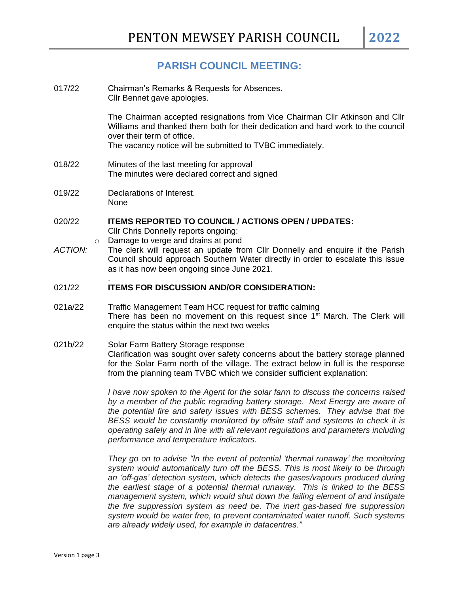# **PARISH COUNCIL MEETING:**

- 017/22 Chairman's Remarks & Requests for Absences. Cllr Bennet gave apologies. The Chairman accepted resignations from Vice Chairman Cllr Atkinson and Cllr Williams and thanked them both for their dedication and hard work to the council over their term of office. The vacancy notice will be submitted to TVBC immediately. 018/22 Minutes of the last meeting for approval The minutes were declared correct and signed 019/22 Declarations of Interest. None 020/22 **ITEMS REPORTED TO COUNCIL / ACTIONS OPEN / UPDATES:** Cllr Chris Donnelly reports ongoing: o Damage to verge and drains at pond *ACTION:* The clerk will request an update from Cllr Donnelly and enquire if the Parish Council should approach Southern Water directly in order to escalate this issue
- 021/22 **ITEMS FOR DISCUSSION AND/OR CONSIDERATION:**

.

as it has now been ongoing since June 2021.

- 021a/22 Traffic Management Team HCC request for traffic calming There has been no movement on this request since 1<sup>st</sup> March. The Clerk will enquire the status within the next two weeks
- 021b/22 Solar Farm Battery Storage response Clarification was sought over safety concerns about the battery storage planned for the Solar Farm north of the village. The extract below in full is the response from the planning team TVBC which we consider sufficient explanation:

*I have now spoken to the Agent for the solar farm to discuss the concerns raised by a member of the public regrading battery storage. Next Energy are aware of the potential fire and safety issues with BESS schemes. They advise that the BESS would be constantly monitored by offsite staff and systems to check it is operating safely and in line with all relevant regulations and parameters including performance and temperature indicators.*

*They go on to advise "In the event of potential 'thermal runaway' the monitoring system would automatically turn off the BESS. This is most likely to be through an 'off-gas' detection system, which detects the gases/vapours produced during the earliest stage of a potential thermal runaway. This is linked to the BESS management system, which would shut down the failing element of and instigate the fire suppression system as need be. The inert gas-based fire suppression system would be water free, to prevent contaminated water runoff. Such systems are already widely used, for example in datacentres."*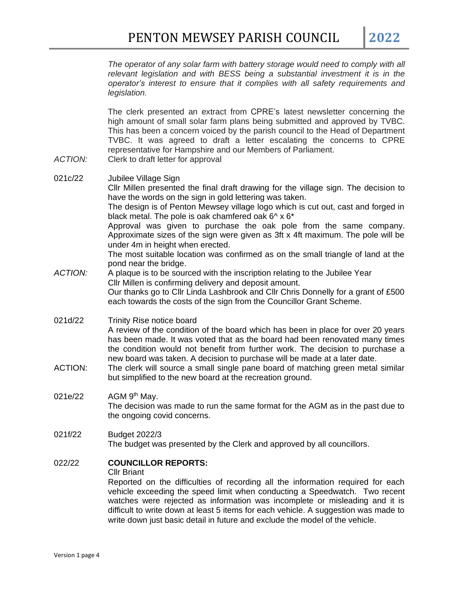*The operator of any solar farm with battery storage would need to comply with all relevant legislation and with BESS being a substantial investment it is in the operator's interest to ensure that it complies with all safety requirements and legislation.*

The clerk presented an extract from CPRE's latest newsletter concerning the high amount of small solar farm plans being submitted and approved by TVBC. This has been a concern voiced by the parish council to the Head of Department TVBC. It was agreed to draft a letter escalating the concerns to CPRE representative for Hampshire and our Members of Parliament.

- *ACTION:* Clerk to draft letter for approval
- 021c/22 Jubilee Village Sign Cllr Millen presented the final draft drawing for the village sign. The decision to have the words on the sign in gold lettering was taken. The design is of Penton Mewsey village logo which is cut out, cast and forged in black metal. The pole is oak chamfered oak  $6^{\wedge} \times 6^*$ Approval was given to purchase the oak pole from the same company. Approximate sizes of the sign were given as 3ft x 4ft maximum. The pole will be under 4m in height when erected. The most suitable location was confirmed as on the small triangle of land at the pond near the bridge. *ACTION:* A plaque is to be sourced with the inscription relating to the Jubilee Year Cllr Millen is confirming delivery and deposit amount. Our thanks go to Cllr Linda Lashbrook and Cllr Chris Donnelly for a grant of £500 each towards the costs of the sign from the Councillor Grant Scheme.
- 021d/22 Trinity Rise notice board A review of the condition of the board which has been in place for over 20 years has been made. It was voted that as the board had been renovated many times the condition would not benefit from further work. The decision to purchase a new board was taken. A decision to purchase will be made at a later date.
- ACTION: The clerk will source a small single pane board of matching green metal similar but simplified to the new board at the recreation ground.
- $021e/22$ AGM 9<sup>th</sup> May. The decision was made to run the same format for the AGM as in the past due to the ongoing covid concerns.
- 021f/22 Budget 2022/3 The budget was presented by the Clerk and approved by all councillors.

# 022/22 **COUNCILLOR REPORTS:**

#### Cllr Briant

Reported on the difficulties of recording all the information required for each vehicle exceeding the speed limit when conducting a Speedwatch. Two recent watches were rejected as information was incomplete or misleading and it is difficult to write down at least 5 items for each vehicle. A suggestion was made to write down just basic detail in future and exclude the model of the vehicle.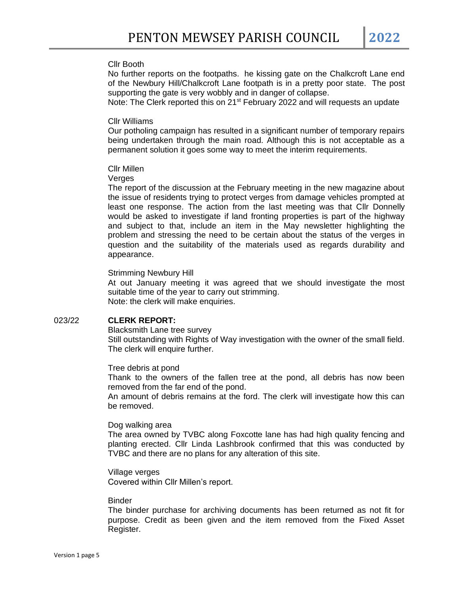#### Cllr Booth

No further reports on the footpaths. he kissing gate on the Chalkcroft Lane end of the Newbury Hill/Chalkcroft Lane footpath is in a pretty poor state. The post supporting the gate is very wobbly and in danger of collapse.

Note: The Clerk reported this on  $21^{st}$  February 2022 and will requests an update

#### Cllr Williams

Our potholing campaign has resulted in a significant number of temporary repairs being undertaken through the main road. Although this is not acceptable as a permanent solution it goes some way to meet the interim requirements.

#### Cllr Millen

#### **Verges**

The report of the discussion at the February meeting in the new magazine about the issue of residents trying to protect verges from damage vehicles prompted at least one response. The action from the last meeting was that Cllr Donnelly would be asked to investigate if land fronting properties is part of the highway and subject to that, include an item in the May newsletter highlighting the problem and stressing the need to be certain about the status of the verges in question and the suitability of the materials used as regards durability and appearance.

#### Strimming Newbury Hill

At out January meeting it was agreed that we should investigate the most suitable time of the year to carry out strimming. Note: the clerk will make enquiries.

# 023/22 **CLERK REPORT:**

Blacksmith Lane tree survey Still outstanding with Rights of Way investigation with the owner of the small field. The clerk will enquire further.

#### Tree debris at pond

Thank to the owners of the fallen tree at the pond, all debris has now been removed from the far end of the pond.

An amount of debris remains at the ford. The clerk will investigate how this can be removed.

#### Dog walking area

The area owned by TVBC along Foxcotte lane has had high quality fencing and planting erected. Cllr Linda Lashbrook confirmed that this was conducted by TVBC and there are no plans for any alteration of this site.

Village verges Covered within Cllr Millen's report.

# Binder

The binder purchase for archiving documents has been returned as not fit for purpose. Credit as been given and the item removed from the Fixed Asset Register.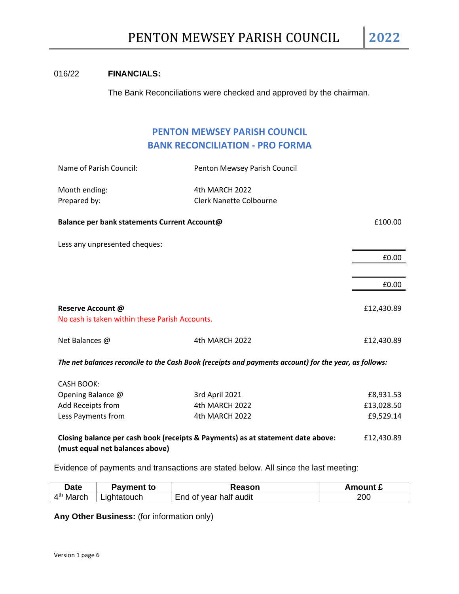# 016/22 **FINANCIALS:**

The Bank Reconciliations were checked and approved by the chairman.

# **PENTON MEWSEY PARISH COUNCIL BANK RECONCILIATION - PRO FORMA**

| Name of Parish Council:                                             | Penton Mewsey Parish Council   |            |
|---------------------------------------------------------------------|--------------------------------|------------|
| Month ending:                                                       | 4th MARCH 2022                 |            |
| Prepared by:                                                        | <b>Clerk Nanette Colbourne</b> |            |
| Balance per bank statements Current Account@                        |                                | £100.00    |
| Less any unpresented cheques:                                       |                                |            |
|                                                                     |                                | £0.00      |
|                                                                     |                                |            |
|                                                                     |                                | £0.00      |
| Reserve Account @<br>No cash is taken within these Parish Accounts. |                                | £12,430.89 |
| Net Balances @                                                      | 4th MARCH 2022                 | £12,430.89 |
|                                                                     |                                |            |

*The net balances reconcile to the Cash Book (receipts and payments account) for the year, as follows:*

| CASH BOOK:         |                |            |
|--------------------|----------------|------------|
| Opening Balance @  | 3rd April 2021 | £8,931.53  |
| Add Receipts from  | 4th MARCH 2022 | £13,028.50 |
| Less Payments from | 4th MARCH 2022 | £9,529.14  |

**Closing balance per cash book (receipts & Payments) as at statement date above:** £12,430.89 **(must equal net balances above)**

Evidence of payments and transactions are stated below. All since the last meeting:

| Date                  | Pavment to  | ₹eason                     | Amount £ |
|-----------------------|-------------|----------------------------|----------|
| $\Lambda$ th<br>March | .ıɑhtatouch | of year half audit<br>Fnd. | 200      |

**Any Other Business:** (for information only)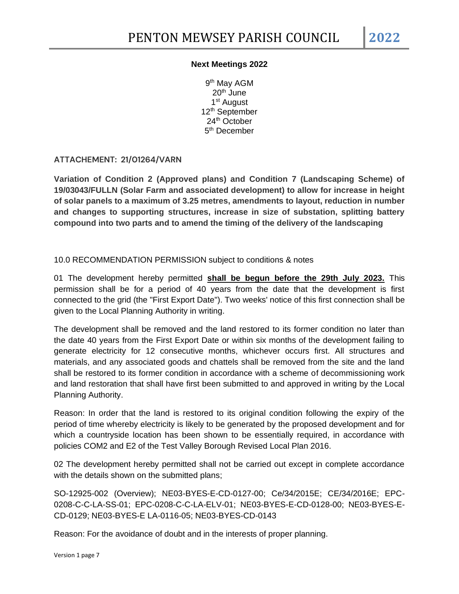# **Next Meetings 2022**

9<sup>th</sup> May AGM  $20<sup>th</sup>$  June 1<sup>st</sup> August 12<sup>th</sup> September 24th October 5<sup>th</sup> December

**ATTACHEMENT: 21/01264/VARN**

**Variation of Condition 2 (Approved plans) and Condition 7 (Landscaping Scheme) of 19/03043/FULLN (Solar Farm and associated development) to allow for increase in height of solar panels to a maximum of 3.25 metres, amendments to layout, reduction in number and changes to supporting structures, increase in size of substation, splitting battery compound into two parts and to amend the timing of the delivery of the landscaping**

10.0 RECOMMENDATION PERMISSION subject to conditions & notes

01 The development hereby permitted **shall be begun before the 29th July 2023.** This permission shall be for a period of 40 years from the date that the development is first connected to the grid (the "First Export Date"). Two weeks' notice of this first connection shall be given to the Local Planning Authority in writing.

The development shall be removed and the land restored to its former condition no later than the date 40 years from the First Export Date or within six months of the development failing to generate electricity for 12 consecutive months, whichever occurs first. All structures and materials, and any associated goods and chattels shall be removed from the site and the land shall be restored to its former condition in accordance with a scheme of decommissioning work and land restoration that shall have first been submitted to and approved in writing by the Local Planning Authority.

Reason: In order that the land is restored to its original condition following the expiry of the period of time whereby electricity is likely to be generated by the proposed development and for which a countryside location has been shown to be essentially required, in accordance with policies COM2 and E2 of the Test Valley Borough Revised Local Plan 2016.

02 The development hereby permitted shall not be carried out except in complete accordance with the details shown on the submitted plans;

SO-12925-002 (Overview); NE03-BYES-E-CD-0127-00; Ce/34/2015E; CE/34/2016E; EPC-0208-C-C-LA-SS-01; EPC-0208-C-C-LA-ELV-01; NE03-BYES-E-CD-0128-00; NE03-BYES-E-CD-0129; NE03-BYES-E LA-0116-05; NE03-BYES-CD-0143

Reason: For the avoidance of doubt and in the interests of proper planning.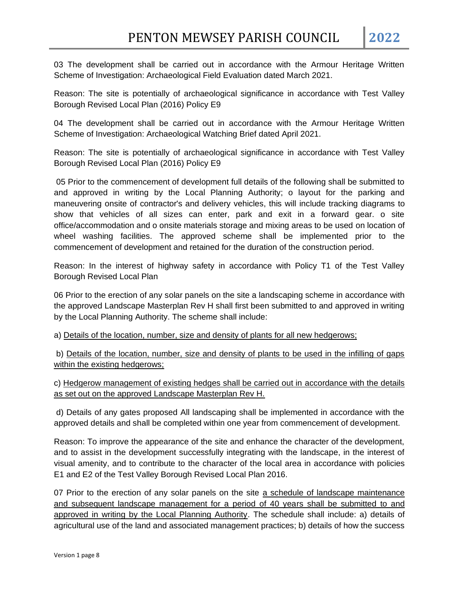03 The development shall be carried out in accordance with the Armour Heritage Written Scheme of Investigation: Archaeological Field Evaluation dated March 2021.

Reason: The site is potentially of archaeological significance in accordance with Test Valley Borough Revised Local Plan (2016) Policy E9

04 The development shall be carried out in accordance with the Armour Heritage Written Scheme of Investigation: Archaeological Watching Brief dated April 2021.

Reason: The site is potentially of archaeological significance in accordance with Test Valley Borough Revised Local Plan (2016) Policy E9

05 Prior to the commencement of development full details of the following shall be submitted to and approved in writing by the Local Planning Authority; o layout for the parking and maneuvering onsite of contractor's and delivery vehicles, this will include tracking diagrams to show that vehicles of all sizes can enter, park and exit in a forward gear. o site office/accommodation and o onsite materials storage and mixing areas to be used on location of wheel washing facilities. The approved scheme shall be implemented prior to the commencement of development and retained for the duration of the construction period.

Reason: In the interest of highway safety in accordance with Policy T1 of the Test Valley Borough Revised Local Plan

06 Prior to the erection of any solar panels on the site a landscaping scheme in accordance with the approved Landscape Masterplan Rev H shall first been submitted to and approved in writing by the Local Planning Authority. The scheme shall include:

a) Details of the location, number, size and density of plants for all new hedgerows;

b) Details of the location, number, size and density of plants to be used in the infilling of gaps within the existing hedgerows;

c) Hedgerow management of existing hedges shall be carried out in accordance with the details as set out on the approved Landscape Masterplan Rev H.

d) Details of any gates proposed All landscaping shall be implemented in accordance with the approved details and shall be completed within one year from commencement of development.

Reason: To improve the appearance of the site and enhance the character of the development, and to assist in the development successfully integrating with the landscape, in the interest of visual amenity, and to contribute to the character of the local area in accordance with policies E1 and E2 of the Test Valley Borough Revised Local Plan 2016.

07 Prior to the erection of any solar panels on the site a schedule of landscape maintenance and subsequent landscape management for a period of 40 years shall be submitted to and approved in writing by the Local Planning Authority. The schedule shall include: a) details of agricultural use of the land and associated management practices; b) details of how the success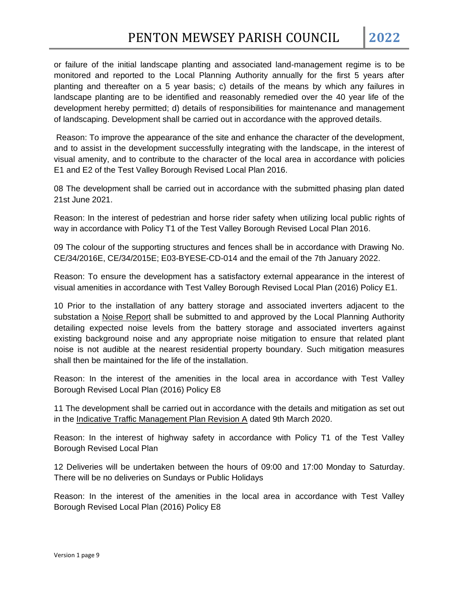or failure of the initial landscape planting and associated land-management regime is to be monitored and reported to the Local Planning Authority annually for the first 5 years after planting and thereafter on a 5 year basis; c) details of the means by which any failures in landscape planting are to be identified and reasonably remedied over the 40 year life of the development hereby permitted; d) details of responsibilities for maintenance and management of landscaping. Development shall be carried out in accordance with the approved details.

Reason: To improve the appearance of the site and enhance the character of the development, and to assist in the development successfully integrating with the landscape, in the interest of visual amenity, and to contribute to the character of the local area in accordance with policies E1 and E2 of the Test Valley Borough Revised Local Plan 2016.

08 The development shall be carried out in accordance with the submitted phasing plan dated 21st June 2021.

Reason: In the interest of pedestrian and horse rider safety when utilizing local public rights of way in accordance with Policy T1 of the Test Valley Borough Revised Local Plan 2016.

09 The colour of the supporting structures and fences shall be in accordance with Drawing No. CE/34/2016E, CE/34/2015E; E03-BYESE-CD-014 and the email of the 7th January 2022.

Reason: To ensure the development has a satisfactory external appearance in the interest of visual amenities in accordance with Test Valley Borough Revised Local Plan (2016) Policy E1.

10 Prior to the installation of any battery storage and associated inverters adjacent to the substation a Noise Report shall be submitted to and approved by the Local Planning Authority detailing expected noise levels from the battery storage and associated inverters against existing background noise and any appropriate noise mitigation to ensure that related plant noise is not audible at the nearest residential property boundary. Such mitigation measures shall then be maintained for the life of the installation.

Reason: In the interest of the amenities in the local area in accordance with Test Valley Borough Revised Local Plan (2016) Policy E8

11 The development shall be carried out in accordance with the details and mitigation as set out in the Indicative Traffic Management Plan Revision A dated 9th March 2020.

Reason: In the interest of highway safety in accordance with Policy T1 of the Test Valley Borough Revised Local Plan

12 Deliveries will be undertaken between the hours of 09:00 and 17:00 Monday to Saturday. There will be no deliveries on Sundays or Public Holidays

Reason: In the interest of the amenities in the local area in accordance with Test Valley Borough Revised Local Plan (2016) Policy E8